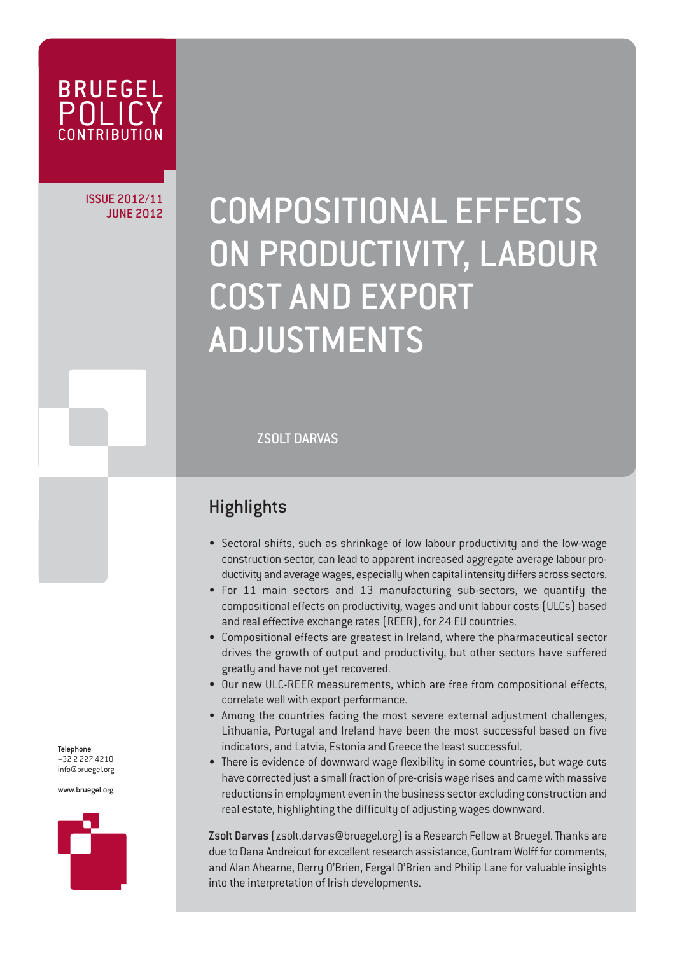

ISSUE 2012/11

# JUNE 2012/11 COMPOSITIONAL EFFECTS ON PRODUCTIVITY, LABOUR COST AND EXPORT ADJUSTMENTS

ZSOLT DARVAS

### **Highlights**

- Sectoral shifts, such as shrinkage of low labour productivity and the low-wage construction sector, can lead to apparent increased aggregate average labour productivity and average wages, especially when capital intensity differs across sectors.
- For 11 main sectors and 13 manufacturing sub-sectors, we quantify the compositional effects on productivity, wages and unit labour costs (ULCs) based and real effective exchange rates (REER), for 24 EU countries.
- Compositional effects are greatest in Ireland, where the pharmaceutical sector drives the growth of output and productivity, but other sectors have suffered greatly and have not yet recovered.
- Our new ULC-REER measurements, which are free from compositional effects, correlate well with export performance.
- Among the countries facing the most severe external adjustment challenges, Lithuania, Portugal and Ireland have been the most successful based on five indicators, and Latvia, Estonia and Greece the least successful.
- There is evidence of downward wage flexibility in some countries, but wage cuts have corrected just a small fraction of pre-crisis wage rises and came with massive reductions in employment even in the business sector excluding construction and real estate, highlighting the difficulty of adjusting wages downward.

Zsolt Darvas (zsolt.darvas@bruegel.org) is a Research Fellow at Bruegel. Thanks are due to Dana Andreicut for excellent research assistance, Guntram Wolff for comments, and Alan Ahearne, Derry O'Brien, Fergal O'Brien and Philip Lane for valuable insights into the interpretation of Irish developments.

Telephone +32 2 227 4210 info@bruegel.org

www.bruegel.org

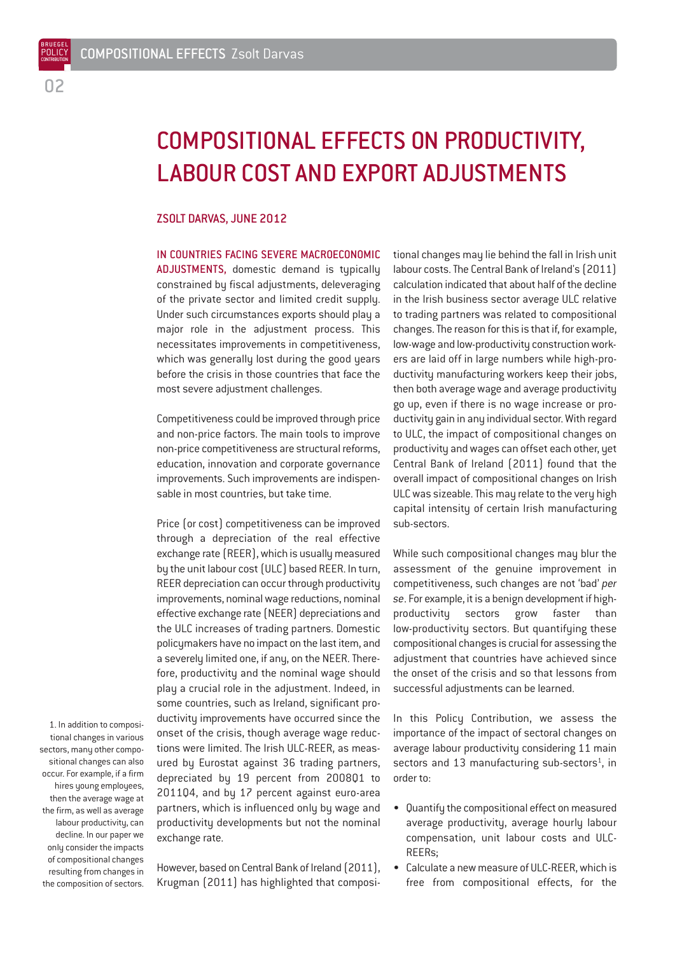BRUEGEL **POLICY** CONTRIBUTION

## COMPOSITIONAL EFFECTS ON PRODUCTIVITY, LABOUR COST AND EXPORT ADJUSTMENTS

#### ZSOLT DARVAS, JUNE 2012

IN COUNTRIES FACING SEVERE MACROECONOMIC ADJUSTMENTS, domestic demand is typically constrained by fiscal adjustments, deleveraging of the private sector and limited credit supply. Under such circumstances exports should play a major role in the adjustment process. This necessitates improvements in competitiveness, which was generally lost during the good years before the crisis in those countries that face the most severe adjustment challenges.

Competitiveness could be improved through price and non-price factors. The main tools to improve non-price competitiveness are structural reforms, education, innovation and corporate governance improvements. Such improvements are indispensable in most countries, but take time.

Price (or cost) competitiveness can be improved through a depreciation of the real effective exchange rate (REER), which is usually measured by the unit labour cost (ULC) based REER. In turn, REER depreciation can occur through productivity improvements, nominal wage reductions, nominal effective exchange rate (NEER) depreciations and the ULC increases of trading partners. Domestic policymakers have no impact on the last item, and a severely limited one, if any, on the NEER. Therefore, productivity and the nominal wage should play a crucial role in the adjustment. Indeed, in some countries, such as Ireland, significant productivity improvements have occurred since the onset of the crisis, though average wage reductions were limited. The Irish ULC-REER, as measured by Eurostat against 36 trading partners, depreciated by 19 percent from 2008Q1 to 2011Q4, and by 17 percent against euro-area partners, which is influenced only by wage and productivity developments but not the nominal exchange rate.

1. In addition to compositional changes in various sectors, many other compositional changes can also occur. For example, if a firm hires young employees, then the average wage at the firm, as well as average labour productivity, can decline. In our paper we only consider the impacts of compositional changes resulting from changes in the composition of sectors.

However, based on Central Bank of Ireland (2011), Krugman (2011) has highlighted that compositional changes may lie behind the fall in Irish unit labour costs. The Central Bank of Ireland's (2011) calculation indicated that about half of the decline in the Irish business sector average ULC relative to trading partners was related to compositional changes. The reason for this is that if, for example, low-wage and low-productivity construction workers are laid off in large numbers while high-productivity manufacturing workers keep their jobs, then both average wage and average productivity go up, even if there is no wage increase or productivity gain in any individual sector. With regard to ULC, the impact of compositional changes on productivity and wages can offset each other, yet Central Bank of Ireland (2011) found that the overall impact of compositional changes on Irish ULC was sizeable. This may relate to the very high capital intensity of certain Irish manufacturing sub-sectors.

While such compositional changes may blur the assessment of the genuine improvement in competitiveness, such changes are not 'bad' *per se*. For example, it is a benign development if highproductivity sectors grow faster than low-productivity sectors. But quantifying these compositional changes is crucial for assessing the adjustment that countries have achieved since the onset of the crisis and so that lessons from successful adjustments can be learned.

In this Policy Contribution, we assess the importance of the impact of sectoral changes on average labour productivity considering 11 main sectors and 13 manufacturing sub-sectors<sup>1</sup>, in order to:

- Quantify the compositional effect on measured average productivity, average hourly labour compensation, unit labour costs and ULC-REERs;
- Calculate a new measure of ULC-REER, which is free from compositional effects, for the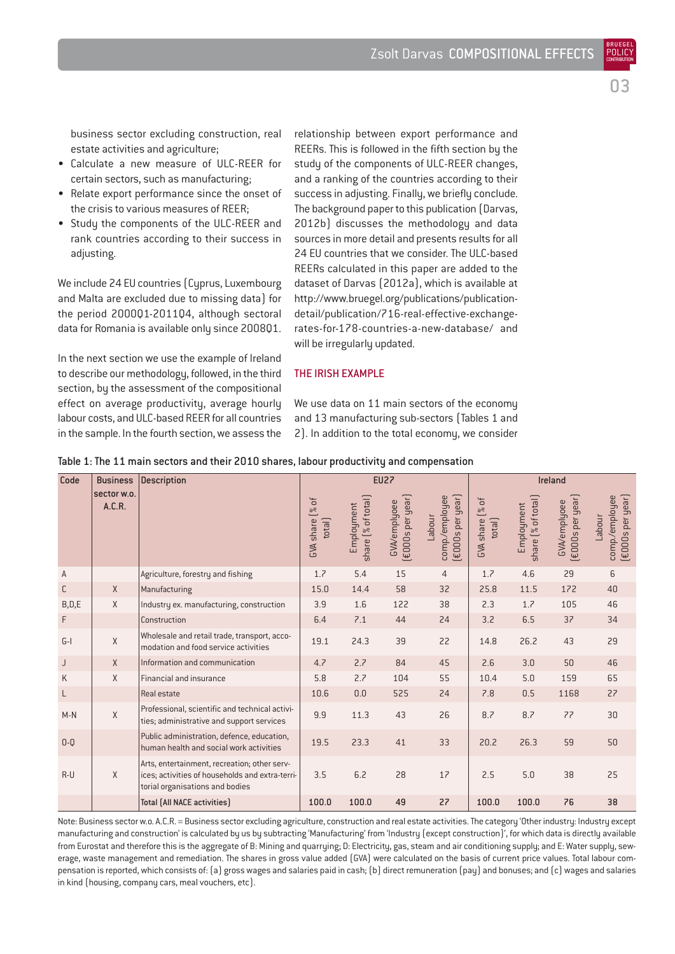business sector excluding construction, real estate activities and agriculture;

- Calculate a new measure of ULC-REER for certain sectors, such as manufacturing;
- Relate export performance since the onset of the crisis to various measures of REER;
- Study the components of the ULC-REER and rank countries according to their success in adjusting.

We include 24 EU countries (Cyprus, Luxembourg and Malta are excluded due to missing data) for the period 2000Q1-2011Q4, although sectoral data for Romania is available only since 2008Q1.

In the next section we use the example of Ireland to describe our methodology, followed, in the third section, by the assessment of the compositional effect on average productivity, average hourly labour costs, and ULC-based REER for all countries in the sample. In the fourth section, we assess the relationship between export performance and REERs. This is followed in the fifth section by the study of the components of ULC-REER changes, and a ranking of the countries according to their success in adjusting. Finally, we briefly conclude. The background paper to this publication (Darvas, 2012b) discusses the methodology and data sources in more detail and presents results for all 24 EU countries that we consider. The ULC-based REERs calculated in this paper are added to the dataset of Darvas (2012a), which is available at http://www.bruegel.org/publications/publicationdetail/publication/716-real-effective-exchangerates-for-178-countries-a-new-database/ and will be irregularly updated.

#### THE IRISH EXAMPLE

We use data on 11 main sectors of the economy and 13 manufacturing sub-sectors (Tables 1 and 2). In addition to the total economy, we consider

| Code         | <b>Business</b>       | <b>Description</b>                                                                                                                 | <b>EU27</b>                       |                                  |                                         |                                              | <b>Ireland</b>                      |                                  |                                  |                                              |
|--------------|-----------------------|------------------------------------------------------------------------------------------------------------------------------------|-----------------------------------|----------------------------------|-----------------------------------------|----------------------------------------------|-------------------------------------|----------------------------------|----------------------------------|----------------------------------------------|
|              | sector w.o.<br>A.C.R. |                                                                                                                                    | [%]<br>total]<br><b>GVA</b> share | share (% of total)<br>Employment | (£000s per year)<br><b>GVA/emplyoee</b> | (€000s per year)<br>comp./employee<br>Labour | [% of<br><b>GVA</b> share<br>total] | share [% of total]<br>Employment | (£000s per year)<br>GVA/emplyoee | (£000s per year)<br>comp./employee<br>Labour |
| $\mathsf A$  |                       | Agriculture, forestry and fishing                                                                                                  | 1.7                               | 5.4                              | 15                                      | $\overline{4}$                               | 1.7                                 | 4.6                              | 29                               | 6                                            |
| $\mathsf{C}$ | X                     | Manufacturing                                                                                                                      | 15.0                              | 14.4                             | 58                                      | 32                                           | 25.8                                | 11.5                             | 172                              | 40                                           |
| B, D, E      | $\chi$                | Industry ex. manufacturing, construction                                                                                           | 3.9                               | 1.6                              | 122                                     | 38                                           | 2.3                                 | 1.7                              | 105                              | 46                                           |
| F            |                       | Construction                                                                                                                       | 6.4                               | 7.1                              | 44                                      | 24                                           | 3.2                                 | 6.5                              | 37                               | 34                                           |
| $G-I$        | $\mathsf X$           | Wholesale and retail trade, transport, acco-<br>modation and food service activities                                               | 19.1                              | 24.3                             | 39                                      | 22                                           | 14.8                                | 26.2                             | 43                               | 29                                           |
| J            | X                     | Information and communication                                                                                                      | 4.7                               | 2.7                              | 84                                      | 45                                           | 2.6                                 | 3.0                              | 50                               | 46                                           |
| K            | $\chi$                | Financial and insurance                                                                                                            | 5.8                               | 2.7                              | 104                                     | 55                                           | 10.4                                | 5.0                              | 159                              | 65                                           |
| L            |                       | Real estate                                                                                                                        | 10.6                              | 0.0                              | 525                                     | 24                                           | 7.8                                 | 0.5                              | 1168                             | 27                                           |
| $M-N$        | $\chi$                | Professional, scientific and technical activi-<br>ties; administrative and support services                                        | 9.9                               | 11.3                             | 43                                      | 26                                           | 8.7                                 | 8.7                              | 77                               | 30                                           |
| $0-0$        |                       | Public administration, defence, education,<br>human health and social work activities                                              | 19.5                              | 23.3                             | 41                                      | 33                                           | 20.2                                | 26.3                             | 59                               | 50                                           |
| $R-U$        | $\chi$                | Arts, entertainment, recreation; other serv-<br>ices; activities of households and extra-terri-<br>torial organisations and bodies | 3.5                               | 6.2                              | 28                                      | 17                                           | 2.5                                 | 5.0                              | 38                               | 25                                           |
|              |                       | <b>Total (All NACE activities)</b>                                                                                                 | 100.0                             | 100.0                            | 49                                      | 27                                           | 100.0                               | 100.0                            | 76                               | 38                                           |

#### Table 1: The 11 main sectors and their 2010 shares, labour productivity and compensation

Note: Business sector w.o. A.C.R. = Business sector excluding agriculture, construction and real estate activities. The category 'Other industry: Industry except manufacturing and construction' is calculated by us by subtracting 'Manufacturing' from 'Industry (except construction)', for which data is directly available from Eurostat and therefore this is the aggregate of B: Mining and quarrying; D: Electricity, gas, steam and air conditioning supply; and E: Water supply, sewerage, waste management and remediation. The shares in gross value added (GVA) were calculated on the basis of current price values. Total labour compensation is reported, which consists of: (a) gross wages and salaries paid in cash; (b) direct remuneration (pay) and bonuses; and (c) wages and salaries in kind (housing, company cars, meal vouchers, etc).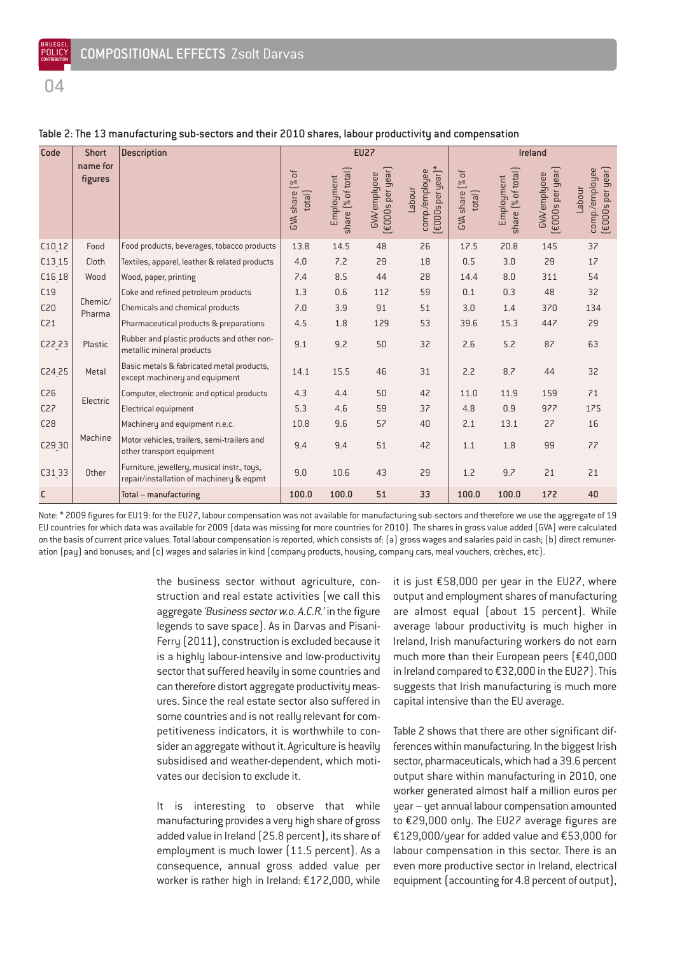$\mathsf{n}$ 

| Code              | <b>Short</b>                  | <b>Description</b>                                                                      | <b>EU27</b>                         |                                  |                                         |                                              | Ireland                             |                                  |                                  |                                                                      |
|-------------------|-------------------------------|-----------------------------------------------------------------------------------------|-------------------------------------|----------------------------------|-----------------------------------------|----------------------------------------------|-------------------------------------|----------------------------------|----------------------------------|----------------------------------------------------------------------|
|                   | name for<br>figures           |                                                                                         | [% of<br><b>GVA</b> share<br>total] | share [% of total]<br>Employment | (£000s per year)<br><b>GVA/emplyoee</b> | (£000s per year)*<br>comp/employee<br>Labour | [% of<br>total]<br><b>GVA</b> share | share (% of total)<br>Employment | (£000s per year)<br>GVA/emplyoee | $(\text{\small\texttt{EOOOs}}$ per year)<br>comp./employee<br>Labour |
| C10 12            | Food                          | Food products, beverages, tobacco products                                              | 13.8                                | 14.5                             | 48                                      | 26                                           | 17.5                                | 20.8                             | 145                              | 37                                                                   |
| $C13_15$          | Cloth                         | Textiles, apparel, leather & related products                                           |                                     | 7.2                              | 29                                      | 18                                           | 0.5                                 | 3.0                              | 29                               | 17                                                                   |
| C16 18            | Wood<br>Wood, paper, printing |                                                                                         | 7.4                                 | 8.5                              | 44                                      | 28                                           | 14.4                                | 8.0                              | 311                              | 54                                                                   |
| C19               | Chemic/<br>Pharma             | Coke and refined petroleum products                                                     | 1.3                                 | 0.6                              | 112                                     | 59                                           | 0.1                                 | 0.3                              | 48                               | 32                                                                   |
| C <sub>20</sub>   |                               | Chemicals and chemical products                                                         | 7.0                                 | 3.9                              | 91                                      | 51                                           | 3.0                                 | 1.4                              | 370                              | 134                                                                  |
| C <sub>21</sub>   |                               | Pharmaceutical products & preparations                                                  | 4.5                                 | 1.8                              | 129                                     | 53                                           | 39.6                                | 15.3                             | 447                              | 29                                                                   |
| C22 23            | Plastic                       | Rubber and plastic products and other non-<br>metallic mineral products                 | 9.1                                 | 9.2                              | 50                                      | 32                                           | 2.6                                 | 5.2                              | 87                               | 63                                                                   |
| C24 25            | Metal                         | Basic metals & fabricated metal products,<br>except machinery and equipment             | 14.1                                | 15.5                             | 46                                      | 31                                           | 2.2                                 | 8.7                              | 44                               | 32                                                                   |
| C <sub>26</sub>   |                               | Computer, electronic and optical products                                               | 4.3                                 | 4.4                              | 50                                      | 42                                           | 11.0                                | 11.9                             | 159                              | 71                                                                   |
| C <sub>27</sub>   | Electric                      | <b>Electrical equipment</b>                                                             | 5.3                                 | 4.6                              | 59                                      | 37                                           | 4.8                                 | 0.9                              | 977                              | 175                                                                  |
| C28               |                               | Machinery and equipment n.e.c.                                                          | 10.8                                | 9.6                              | 57                                      | 40                                           | 2.1                                 | 13.1                             | 27                               | 16                                                                   |
| C29 <sub>30</sub> | Machine                       | Motor vehicles, trailers, semi-trailers and<br>other transport equipment                | 9.4                                 | 9.4                              | 51                                      | 42                                           | 1.1                                 | 1.8                              | 99                               | 77                                                                   |
| C3133             | Other                         | Furniture, jewellery, musical instr., toys,<br>repair/installation of machinery & eqpmt | 9.0                                 | 10.6                             | 43                                      | 29                                           | 1.2                                 | 9.7                              | 21                               | 21                                                                   |
| $\mathsf{C}$      |                               | Total - manufacturing                                                                   | 100.0                               | 100.0                            | 51                                      | 33                                           | 100.0                               | 100.0                            | 172                              | 40                                                                   |

#### Table 2: The 13 manufacturing sub-sectors and their 2010 shares, labour productivity and compensation

Note: \* 2009 figures for EU19: for the EU27, labour compensation was not available for manufacturing sub-sectors and therefore we use the aggregate of 19 EU countries for which data was available for 2009 (data was missing for more countries for 2010). The shares in gross value added (GVA) were calculated on the basis of current price values. Total labour compensation is reported, which consists of: (a) gross wages and salaries paid in cash; (b) direct remuneration (pay) and bonuses; and (c) wages and salaries in kind (company products, housing, company cars, meal vouchers, crèches, etc).

> the business sector without agriculture, construction and real estate activities (we call this aggregate *'Business sector w.o. A.C.R.'* in the figure legends to save space). As in Darvas and Pisani-Ferry (2011), construction is excluded because it is a highly labour-intensive and low-productivity sector that suffered heavily in some countries and can therefore distort aggregate productivity measures. Since the real estate sector also suffered in some countries and is not really relevant for competitiveness indicators, it is worthwhile to consider an aggregate without it. Agriculture is heavily subsidised and weather-dependent, which motivates our decision to exclude it.

> It is interesting to observe that while manufacturing provides a very high share of gross added value in Ireland (25.8 percent), its share of employment is much lower (11.5 percent). As a consequence, annual gross added value per worker is rather high in Ireland: €172,000, while

it is just €58,000 per year in the EU27, where output and employment shares of manufacturing are almost equal (about 15 percent). While average labour productivity is much higher in Ireland, Irish manufacturing workers do not earn much more than their European peers (€40,000 in Ireland compared to €32,000 in the EU27). This suggests that Irish manufacturing is much more capital intensive than the EU average.

Table 2 shows that there are other significant differences within manufacturing. In the biggest Irish sector, pharmaceuticals, which had a 39.6 percent output share within manufacturing in 2010, one worker generated almost half a million euros per year – yet annual labour compensation amounted to €29,000 only. The EU27 average figures are €129,000/year for added value and €53,000 for labour compensation in this sector. There is an even more productive sector in Ireland, electrical equipment (accounting for 4.8 percent of output),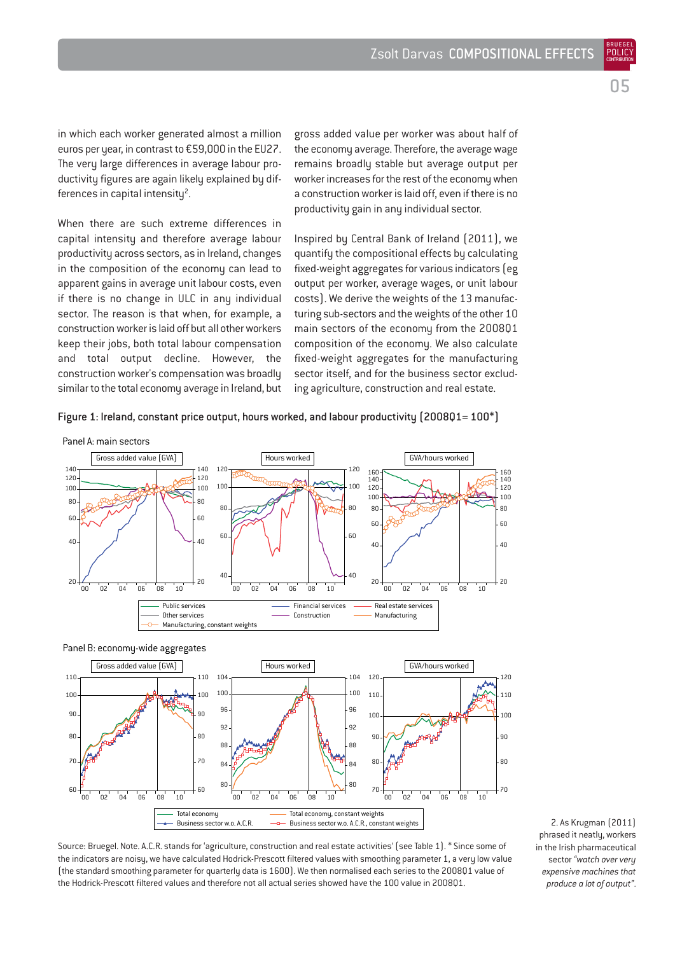05

BRUEGEL **POLIC CONTRIBUTION** 

in which each worker generated almost a million euros per year, in contrast to €59,000 in the EU27. The very large differences in average labour productivity figures are again likely explained by differences in capital intensity<sup>2</sup>.

When there are such extreme differences in capital intensity and therefore average labour productivity across sectors, as in Ireland, changes in the composition of the economy can lead to apparent gains in average unit labour costs, even if there is no change in ULC in any individual sector. The reason is that when, for example, a construction worker is laid off but all other workers keep their jobs, both total labour compensation and total output decline. However, the construction worker's compensation was broadly similar to the total economy average in Ireland, but gross added value per worker was about half of the economy average. Therefore, the average wage remains broadly stable but average output per worker increases for the rest of the economy when a construction worker is laid off, even if there is no productivity gain in any individual sector.

Inspired by Central Bank of Ireland (2011), we quantify the compositional effects by calculating fixed-weight aggregates for various indicators (eg output per worker, average wages, or unit labour costs). We derive the weights of the 13 manufacturing sub-sectors and the weights of the other 10 main sectors of the economy from the 2008Q1 composition of the economy. We also calculate fixed-weight aggregates for the manufacturing sector itself, and for the business sector excluding agriculture, construction and real estate.

Figure 1: Ireland, constant price output, hours worked, and labour productivity  $(200801=100*)$ 



110  $100$ 90  $80$ 70 60 110  $100$ <sub>9f</sub> 80 70 6ſ 00 02 04 06 08 10 104 100  $96$ 92 88 84  $80$ 104 100 96 92 **88** 84 80 00 02 04 06 08 10 120 110 100 90 8<sub>r</sub> 70 00 02 04 06 08 10 Gross added value (GVA) **Hours worked** GVA/hours worked GVA/hours worked Total economy Business sector w.o. A.C.R. Total economy, constant weights Business sector w.o. A.C.R., constant weights

Source: Bruegel. Note. A.C.R. stands for 'agriculture, construction and real estate activities' (see Table 1). \* Since some of the indicators are noisy, we have calculated Hodrick-Prescott filtered values with smoothing parameter 1, a very low value (the standard smoothing parameter for quarterly data is 1600). We then normalised each series to the 2008Q1 value of the Hodrick-Prescott filtered values and therefore not all actual series showed have the 100 value in 2008Q1.

2. As Krugman (2011) phrased it neatly, workers in the Irish pharmaceutical sector *"watch over very expensive machines that produce a lot of output"*.

. คก

70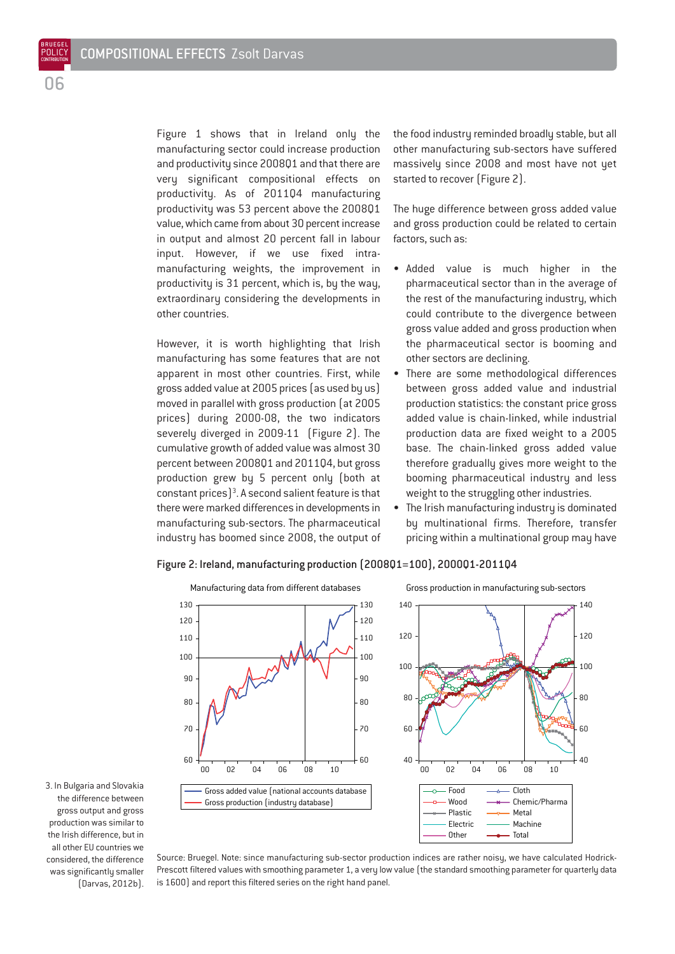BRUEGEL POLIC<sup>®</sup>

> Figure 1 shows that in Ireland only the manufacturing sector could increase production and productivity since 2008Q1 and that there are very significant compositional effects on productivity. As of 2011Q4 manufacturing productivity was 53 percent above the 2008Q1 value, which came from about 30 percent increase in output and almost 20 percent fall in labour input. However, if we use fixed intramanufacturing weights, the improvement in productivity is 31 percent, which is, by the way, extraordinary considering the developments in other countries.

However, it is worth highlighting that Irish manufacturing has some features that are not apparent in most other countries. First, while gross added value at 2005 prices (as used by us) moved in parallel with gross production (at 2005 prices) during 2000-08, the two indicators severely diverged in 2009-11 (Figure 2). The cumulative growth of added value was almost 30 percent between 2008Q1 and 2011Q4, but gross production grew by 5 percent only (both at constant prices $]$ <sup>3</sup>. A second salient feature is that there were marked differences in developments in manufacturing sub-sectors. The pharmaceutical industry has boomed since 2008, the output of the food industry reminded broadly stable, but all other manufacturing sub-sectors have suffered massively since 2008 and most have not yet started to recover (Figure 2).

The huge difference between gross added value and gross production could be related to certain factors, such as:

- Added value is much higher in the pharmaceutical sector than in the average of the rest of the manufacturing industry, which could contribute to the divergence between gross value added and gross production when the pharmaceutical sector is booming and other sectors are declining.
- There are some methodological differences between gross added value and industrial production statistics: the constant price gross added value is chain-linked, while industrial production data are fixed weight to a 2005 base. The chain-linked gross added value therefore gradually gives more weight to the booming pharmaceutical industry and less weight to the struggling other industries.
- The Irish manufacturing industry is dominated by multinational firms. Therefore, transfer pricing within a multinational group may have



#### Figure 2: Ireland, manufacturing production (2008Q1=100), 2000Q1-2011Q4

3. In Bulgaria and Slovakia the difference between gross output and gross production was similar to the Irish difference, but in all other EU countries we considered, the difference was significantly smaller (Darvas, 2012b).

Source: Bruegel. Note: since manufacturing sub-sector production indices are rather noisy, we have calculated Hodrick-Prescott filtered values with smoothing parameter 1, a very low value (the standard smoothing parameter for quarterly data is 1600) and report this filtered series on the right hand panel.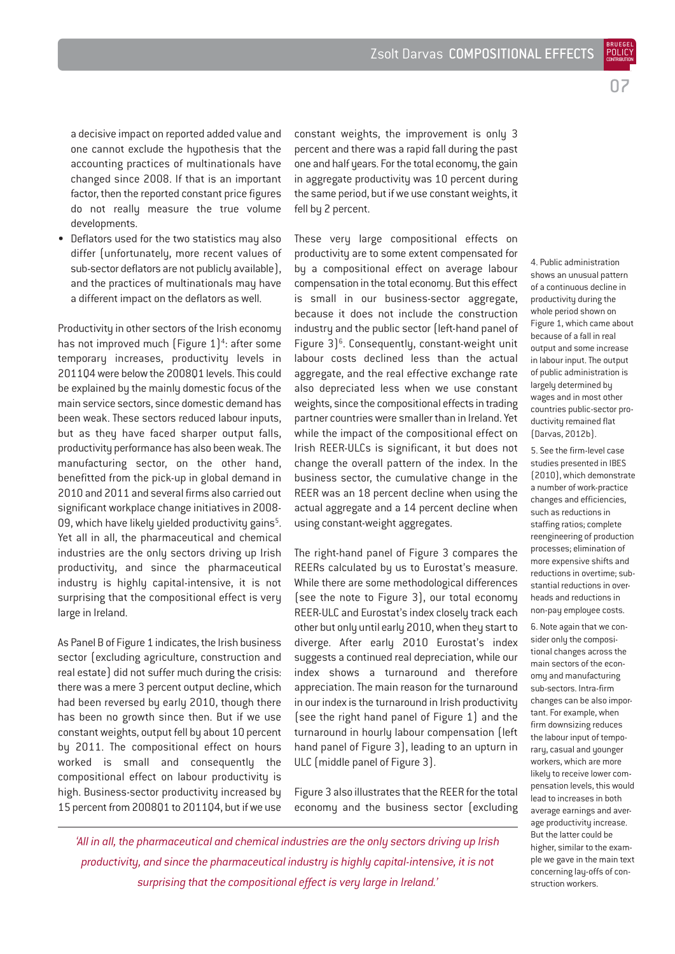BRUEGEL POLICY **CONTRIBUTION** 

a decisive impact on reported added value and one cannot exclude the hypothesis that the accounting practices of multinationals have changed since 2008. If that is an important factor, then the reported constant price figures do not really measure the true volume developments.

• Deflators used for the two statistics may also differ (unfortunately, more recent values of sub-sector deflators are not publicly available), and the practices of multinationals may have a different impact on the deflators as well.

Productivity in other sectors of the Irish economy has not improved much  $[Figure 1]<sup>4</sup>$ : after some temporary increases, productivity levels in 2011Q4 were below the 2008Q1 levels. This could be explained by the mainly domestic focus of the main service sectors, since domestic demand has been weak. These sectors reduced labour inputs, but as they have faced sharper output falls, productivity performance has also been weak. The manufacturing sector, on the other hand, benefitted from the pick-up in global demand in 2010 and 2011 and several firms also carried out significant workplace change initiatives in 2008- 09, which have likely yielded productivity gains<sup>5</sup>. Yet all in all, the pharmaceutical and chemical industries are the onlu sectors driving up Irish productivity, and since the pharmaceutical industry is highly capital-intensive, it is not surprising that the compositional effect is very large in Ireland.

As Panel B of Figure 1 indicates, the Irish business sector (excluding agriculture, construction and real estate) did not suffer much during the crisis: there was a mere 3 percent output decline, which had been reversed by early 2010, though there has been no growth since then. But if we use constant weights, output fell by about 10 percent by 2011. The compositional effect on hours worked is small and consequently the compositional effect on labour productivity is high. Business-sector productivity increased by 15 percent from 2008Q1 to 2011Q4, but if we use

constant weights, the improvement is only 3 percent and there was a rapid fall during the past one and half years. For the total economy, the gain in aggregate productivity was 10 percent during the same period, but if we use constant weights, it fell by 2 percent.

These very large compositional effects on productivity are to some extent compensated for by a compositional effect on average labour compensation in the total economy. But this effect is small in our business-sector aggregate, because it does not include the construction industry and the public sector (left-hand panel of Figure  $3$ <sup>6</sup>. Consequently, constant-weight unit labour costs declined less than the actual aggregate, and the real effective exchange rate also depreciated less when we use constant weights, since the compositional effects in trading partner countries were smaller than in Ireland. Yet while the impact of the compositional effect on Irish REER-ULCs is significant, it but does not change the overall pattern of the index. In the business sector, the cumulative change in the REER was an 18 percent decline when using the actual aggregate and a 14 percent decline when using constant-weight aggregates.

The right-hand panel of Figure 3 compares the REERs calculated by us to Eurostat's measure. While there are some methodological differences (see the note to Figure 3), our total economy REER-ULC and Eurostat's index closely track each other but only until early 2010, when they start to diverge. After early 2010 Eurostat's index suggests a continued real depreciation, while our index shows a turnaround and therefore appreciation. The main reason for the turnaround in our index is the turnaround in Irish productivity (see the right hand panel of Figure 1) and the turnaround in hourly labour compensation (left hand panel of Figure 3), leading to an upturn in ULC (middle panel of Figure 3).

Figure 3 also illustrates that the REER for the total economy and the business sector (excluding 4. Public administration shows an unusual pattern of a continuous decline in productivity during the whole period shown on Figure 1, which came about because of a fall in real output and some increase in labour input. The output of public administration is largely determined by wages and in most other countries public-sector productivity remained flat (Darvas, 2012b).

5. See the firm-level case studies presented in IBES (2010), which demonstrate a number of work-practice changes and efficiencies, such as reductions in staffing ratios; complete reengineering of production processes; elimination of more expensive shifts and reductions in overtime; substantial reductions in overheads and reductions in non-pay employee costs.

6. Note again that we consider only the compositional changes across the main sectors of the economy and manufacturing sub-sectors. Intra-firm changes can be also important. For example, when firm downsizing reduces the labour input of temporary, casual and younger workers, which are more likely to receive lower compensation levels, this would lead to increases in both average earnings and average productivity increase. But the latter could be higher, similar to the example we gave in the main text concerning lay-offs of construction workers.

*'All in all, the pharmaceutical and chemical industries are the only sectors driving up Irish productivity, and since the pharmaceutical industry is highly capital-intensive, it is not surprising that the compositional effect is very large in Ireland.'*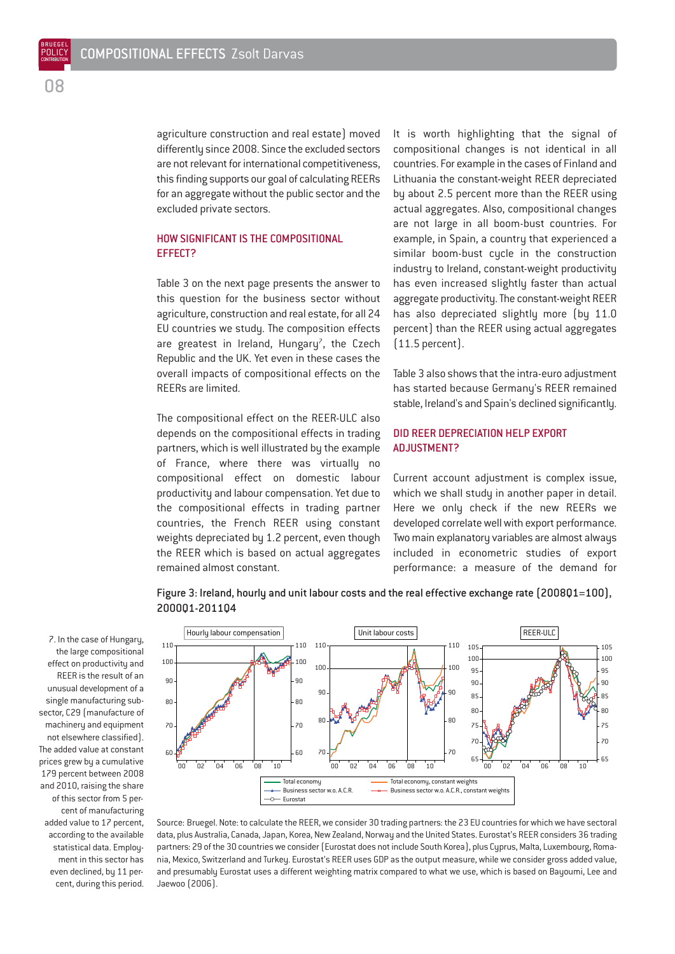agriculture construction and real estate) moved differently since 2008. Since the excluded sectors are not relevant for international competitiveness, this finding supports our goal of calculating REERs for an aggregate without the public sector and the excluded private sectors.

#### HOW SIGNIFICANT IS THE COMPOSITIONAL EFFECT?

Table 3 on the next page presents the answer to this question for the business sector without agriculture, construction and real estate, for all 24 EU countries we study. The composition effects are greatest in Ireland, Hungary<sup>7</sup>, the Czech Republic and the UK. Yet even in these cases the overall impacts of compositional effects on the REERs are limited.

The compositional effect on the REER-ULC also depends on the compositional effects in trading partners, which is well illustrated by the example of France, where there was virtually no compositional effect on domestic labour productivity and labour compensation. Yet due to the compositional effects in trading partner countries, the French REER using constant weights depreciated by 1.2 percent, even though the REER which is based on actual aggregates remained almost constant.

It is worth highlighting that the signal of compositional changes is not identical in all countries. For example in the cases of Finland and Lithuania the constant-weight REER depreciated by about 2.5 percent more than the REER using actual aggregates. Also, compositional changes are not large in all boom-bust countries. For example, in Spain, a country that experienced a similar boom-bust cycle in the construction industry to Ireland, constant-weight productivity has even increased slightly faster than actual aggregate productivity. The constant-weight REER has also depreciated slightly more (by 11.0 percent) than the REER using actual aggregates (11.5 percent).

Table 3 also shows that the intra-euro adjustment has started because Germany's REER remained stable, Ireland's and Spain's declined significantly.

#### DID REER DEPRECIATION HELP EXPORT ADJUSTMENT?

Current account adjustment is complex issue, which we shall study in another paper in detail. Here we only check if the new REERs we developed correlate well with export performance. Two main explanatory variables are almost always included in econometric studies of export performance: a measure of the demand for



Figure 3: Ireland, hourly and unit labour costs and the real effective exchange rate (2008Q1=100), 2000Q1-2011Q4

Source: Bruegel. Note: to calculate the REER, we consider 30 trading partners: the 23 EU countries for which we have sectoral data, plus Australia, Canada, Japan, Korea, New Zealand, Norway and the United States. Eurostat's REER considers 36 trading partners: 29 of the 30 countries we consider (Eurostat does not include South Korea), plus Cyprus, Malta, Luxembourg, Romania, Mexico, Switzerland and Turkey. Eurostat's REER uses GDP as the output measure, while we consider gross added value, and presumably Eurostat uses a different weighting matrix compared to what we use, which is based on Bayoumi, Lee and Jaewoo (2006).

7. In the case of Hungary, the large compositional effect on productivity and REER is the result of an unusual development of a single manufacturing subsector, C29 (manufacture of machinery and equipment not elsewhere classified). The added value at constant prices grew by a cumulative 179 percent between 2008 and 2010, raising the share of this sector from 5 percent of manufacturing added value to 17 percent, according to the available statistical data. Employment in this sector has even declined, by 11 percent, during this period.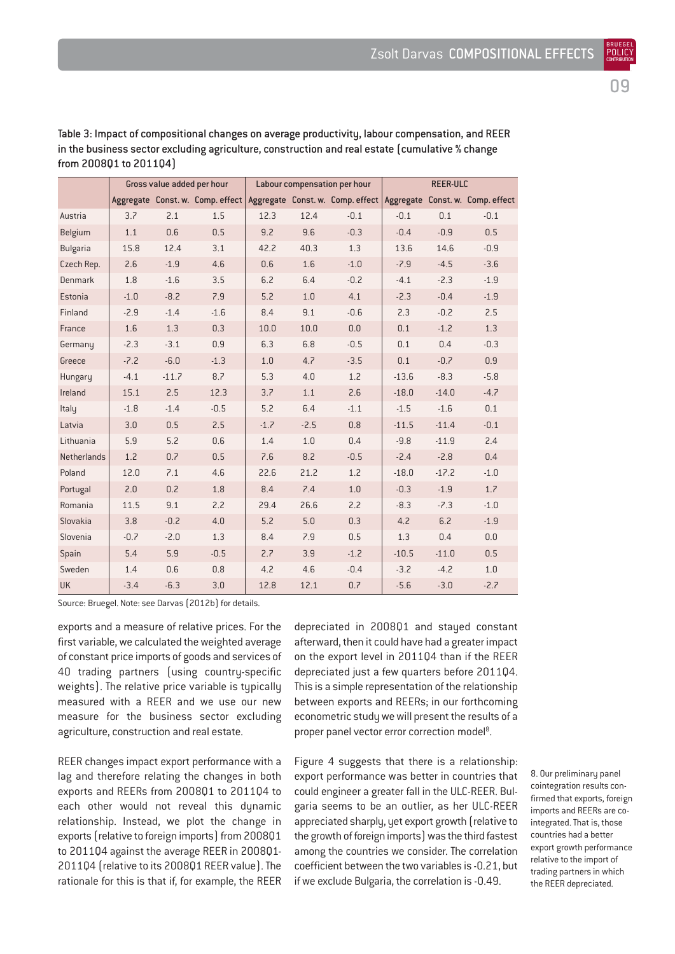|  | 정도 아 |
|--|------|
|  | ×    |
|  |      |

BRUEGEL

Gross value added per hour Labour compensation per hour REER-ULC Aggregate Const. w. Comp. effect Aggregate Const. w. Comp. effect Aggregate Const. w. Comp. effect Austria | 3.7 2.1 1.5 | 12.3 12.4 -0.1 | -0.1 0.1 -0.1 Belgium | 1.1 0.6 0.5 | 9.2 9.6 -0.3 | -0.4 -0.9 0.5 Bulgaria 15.8 12.4 3.1 42.2 40.3 1.3 13.6 14.6 -0.9 Czech Rep. | 2.6 -1.9 -4.6 | 0.6 -1.6 -1.0 | -7.9 -4.5 -3.6 Denmark | 1.8 -1.6 3.5 | 6.2 6.4 -0.2 | -4.1 -2.3 -1.9 Estonia -1.0 -8.2 7.9 5.2 1.0 4.1 -2.3 -0.4 -1.9 Finland -2.9 -1.4 -1.6 8.4 9.1 -0.6 2.3 -0.2 2.5 France | 1.6 1.3 0.3 | 10.0 10.0 0.0 | 0.1 -1.2 1.3 Germany 2.3 -3.1 0.9 6.3 6.8 -0.5 0.1 0.4 -0.3 Greece | -7.2 -6.0 -1.3 | 1.0 -4.7 -3.5 | 0.1 -0.7 -0.9 Hungary | -4.1 -11.7 8.7 | 5.3 4.0 1.2 | -13.6 -8.3 -5.8 Ireland | 15.1 2.5 12.3 | 3.7 1.1 2.6 | 18.0 -14.0 -4.7 Italy | -1.8 -1.4 -0.5 | 5.2 6.4 -1.1 | -1.5 -1.6 0.1 Latvia | 3.0 0.5 2.5 | -1.7 -2.5 0.8 | -11.5 -11.4 -0.1 Lithuania | 5.9 5.2 0.6 | 1.4 1.0 0.4 -9.8 -11.9 2.4 Netherlands 1.2 0.7 0.5 7.6 8.2 -0.5 -2.4 -2.8 0.4 Poland | 12.0 7.1 4.6 | 22.6 21.2 1.2 | 18.0 -17.2 -1.0 Portugal 2.0 0.2 1.8 8.4 7.4 1.0 -0.3 -1.9 1.7 Romania 11.5 9.1 2.2 29.4 26.6 2.2 -8.3 -7.3 -1.0 Slovakia 3.8 -0.2 4.0 5.2 5.0 0.3 4.2 6.2 -1.9 Slovenia | -0.7 -2.0 1.3 | 8.4 7.9 0.5 | 1.3 0.4 0.0 Spain | 5.4 5.9 -0.5 | 2.7 3.9 -1.2 | -10.5 -11.0 0.5 Sweden | 1.4 0.6 0.8 | 4.2 4.6 -0.4 | -3.2 -4.2 1.0

UK -3.4 -6.3 3.0 12.8 12.1 0.7 -5.6 -3.0 -2.7

Table 3: Impact of compositional changes on average productivity, labour compensation, and REER in the business sector excluding agriculture, construction and real estate (cumulative % change from 2008Q1 to 2011Q4)

Source: Bruegel. Note: see Darvas (2012b) for details.

exports and a measure of relative prices. For the first variable, we calculated the weighted average of constant price imports of goods and services of 40 trading partners (using country-specific weights). The relative price variable is typically measured with a REER and we use our new measure for the business sector excluding agriculture, construction and real estate.

REER changes impact export performance with a lag and therefore relating the changes in both exports and REERs from 2008Q1 to 2011Q4 to each other would not reveal this dynamic relationship. Instead, we plot the change in exports (relative to foreign imports) from 2008Q1 to 2011Q4 against the average REER in 2008Q1- 2011Q4 (relative to its 2008Q1 REER value). The rationale for this is that if, for example, the REER depreciated in 200801 and staued constant afterward, then it could have had a greater impact on the export level in 2011Q4 than if the REER depreciated just a few quarters before 2011Q4. This is a simple representation of the relationship between exports and REERs; in our forthcoming econometric study we will present the results of a proper panel vector error correction model<sup>8</sup>.

Figure 4 suggests that there is a relationship: export performance was better in countries that could engineer a greater fall in the ULC-REER. Bulgaria seems to be an outlier, as her ULC-REER appreciated sharply, yet export growth (relative to the growth of foreign imports) was the third fastest among the countries we consider. The correlation coefficient between the two variables is -0.21, but if we exclude Bulgaria, the correlation is -0.49.

8. Our preliminary panel cointegration results confirmed that exports, foreign imports and REERs are cointegrated. That is, those countries had a better export growth performance relative to the import of trading partners in which the REER depreciated.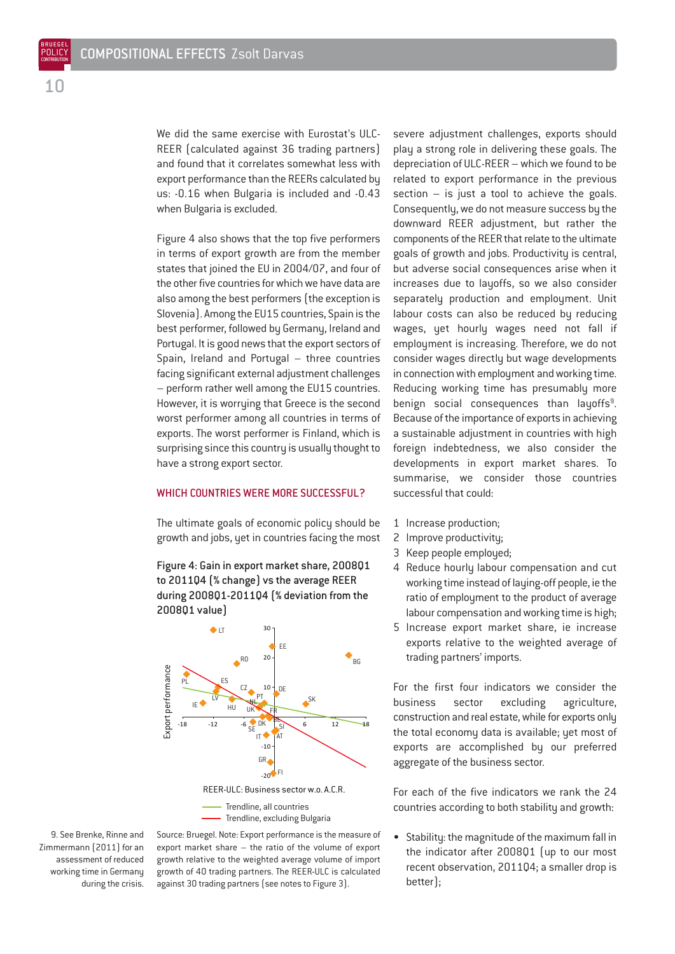We did the same exercise with Furostat's ULC-REER (calculated against 36 trading partners) and found that it correlates somewhat less with export performance than the REERs calculated by us: -0.16 when Bulgaria is included and -0.43 when Bulgaria is excluded.

Figure 4 also shows that the top five performers in terms of export growth are from the member states that joined the EU in 2004/07, and four of the other five countries for which we have data are also among the best performers (the exception is Slovenia). Among the EU15 countries, Spain is the best performer, followed by Germany, Ireland and Portugal. It is good news that the export sectors of Spain, Ireland and Portugal – three countries facing significant external adjustment challenges – perform rather well among the EU15 countries. However, it is worrying that Greece is the second worst performer among all countries in terms of exports. The worst performer is Finland, which is surprising since this country is usually thought to have a strong export sector.

#### WHICH COUNTRIES WERE MORE SUCCESSFUL?

The ultimate goals of economic policy should be growth and jobs, yet in countries facing the most

Figure 4: Gain in export market share, 2008Q1 to 2011Q4 (% change) vs the average REER during 2008Q1-2011Q4 (% deviation from the 2008Q1 value)



Trendline, excluding Bulgaria

9. See Brenke, Rinne and Zimmermann (2011) for an assessment of reduced working time in Germany during the crisis.

Source: Bruegel. Note: Export performance is the measure of export market share – the ratio of the volume of export growth relative to the weighted average volume of import growth of 40 trading partners. The REER-ULC is calculated against 30 trading partners (see notes to Figure 3).

severe adjustment challenges, exports should play a strong role in delivering these goals. The depreciation of ULC-REER – which we found to be related to export performance in the previous section  $-$  is just a tool to achieve the goals. Consequently, we do not measure success by the downward REER adjustment, but rather the components of the REER that relate to the ultimate goals of growth and jobs. Productivity is central, but adverse social consequences arise when it increases due to layoffs, so we also consider separately production and employment. Unit labour costs can also be reduced by reducing wages, yet hourly wages need not fall if employment is increasing. Therefore, we do not consider wages directly but wage developments in connection with employment and working time. Reducing working time has presumably more benign social consequences than layoffs<sup>9</sup>. Because of the importance of exports in achieving a sustainable adjustment in countries with high foreign indebtedness, we also consider the developments in export market shares. To summarise, we consider those countries successful that could:

- 1 Increase production;
- 2 Improve productivity;
- 3 Keep people employed;
- 4 Reduce hourly labour compensation and cut working time instead of laying-off people, ie the ratio of employment to the product of average labour compensation and working time is high;
- 5 Increase export market share, ie increase exports relative to the weighted average of trading partners' imports.

For the first four indicators we consider the business sector excluding agriculture, construction and real estate, while for exports only the total economy data is available; yet most of exports are accomplished by our preferred aggregate of the business sector.

For each of the five indicators we rank the 24 countries according to both stability and growth:

• Stability: the magnitude of the maximum fall in the indicator after 2008Q1 (up to our most recent observation, 2011Q4; a smaller drop is better);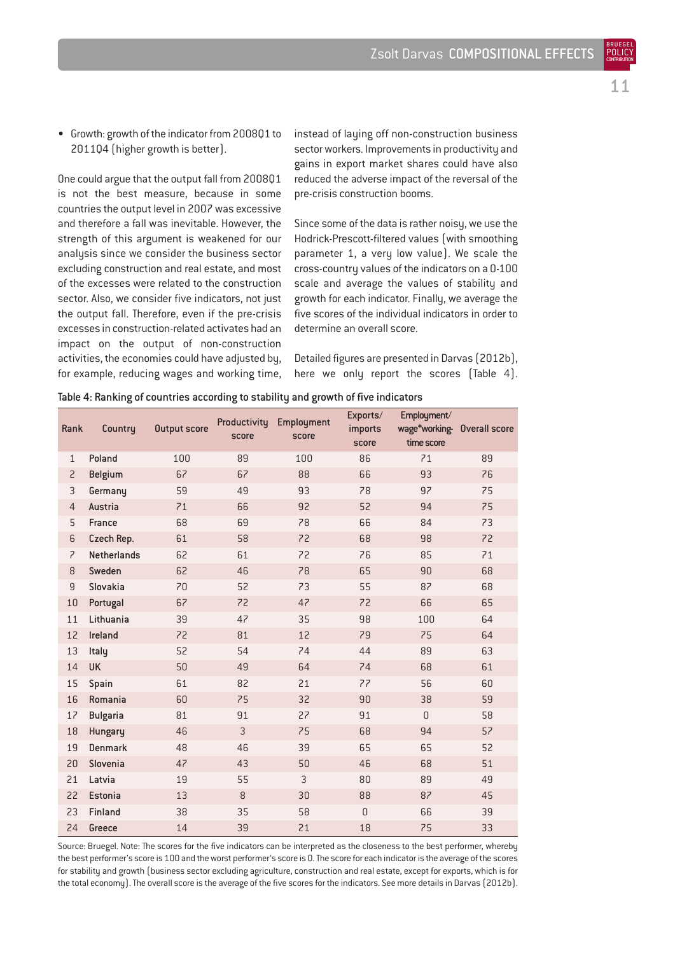• Growth: growth of the indicator from 2008Q1 to 2011Q4 (higher growth is better).

One could argue that the output fall from 2008Q1 is not the best measure, because in some countries the output level in 2007 was excessive and therefore a fall was inevitable. However, the strength of this argument is weakened for our analysis since we consider the business sector excluding construction and real estate, and most of the excesses were related to the construction sector. Also, we consider five indicators, not just the output fall. Therefore, even if the pre-crisis excesses in construction-related activates had an impact on the output of non-construction activities, the economies could have adjusted by, for example, reducing wages and working time, instead of laying off non-construction business sector workers. Improvements in productivity and gains in export market shares could have also reduced the adverse impact of the reversal of the pre-crisis construction booms.

Since some of the data is rather noisy, we use the Hodrick-Prescott-filtered values (with smoothing parameter 1, a very low value). We scale the cross-country values of the indicators on a 0-100 scale and average the values of stability and growth for each indicator. Finally, we average the five scores of the individual indicators in order to determine an overall score.

Detailed figures are presented in Darvas (2012b), here we only report the scores (Table 4).

| Rank           | Country            | <b>Output score</b> | Productivity<br>score | Employment<br>score | Exports/<br>imports<br>score | Employment/<br>wage*working- Overall score<br>time score |    |
|----------------|--------------------|---------------------|-----------------------|---------------------|------------------------------|----------------------------------------------------------|----|
| $\mathbf{1}$   | Poland             | 100                 | 89                    | 100                 | 86                           | 71                                                       | 89 |
| $\overline{c}$ | <b>Belgium</b>     | 67                  | 67                    | 88                  | 66                           | 93                                                       | 76 |
| $\mathsf{3}$   | Germany            | 59                  | 49                    | 93                  | 78                           | 97                                                       | 75 |
| $\overline{4}$ | Austria            | 71                  | 66                    | 92                  | 52                           | 94                                                       | 75 |
| 5              | France             | 68                  | 69                    | 78                  | 66                           | 84                                                       | 73 |
| 6              | Czech Rep.         | 61                  | 58                    | 72                  | 68                           | 98                                                       | 72 |
| $\overline{z}$ | <b>Netherlands</b> | 62                  | 61                    | 72                  | 76                           | 85                                                       | 71 |
| 8              | Sweden             | 62                  | 46                    | 78                  | 65                           | 90                                                       | 68 |
| $\mathsf g$    | Slovakia           | 70                  | 52                    | 73                  | 55                           | 87                                                       | 68 |
| 10             | Portugal           | 67                  | 72                    | 47                  | 72                           | 66                                                       | 65 |
| 11             | Lithuania          | 39                  | 47                    | 35                  | 98                           | 100                                                      | 64 |
| 12             | Ireland            | 72                  | 81                    | 12                  | 79                           | 75                                                       | 64 |
| 13             | Italy              | 52                  | 54                    | 74                  | 44                           | 89                                                       | 63 |
| 14             | <b>UK</b>          | 50                  | 49                    | 64                  | 74                           | 68                                                       | 61 |
| 15             | Spain              | 61                  | 82                    | 21                  | 77                           | 56                                                       | 60 |
| 16             | Romania            | 60                  | 75                    | 32                  | 90                           | 38                                                       | 59 |
| 17             | <b>Bulgaria</b>    | 81                  | 91                    | 27                  | 91                           | $\overline{0}$                                           | 58 |
| 18             | Hungary            | 46                  | 3                     | 75                  | 68                           | 94                                                       | 57 |
| 19             | <b>Denmark</b>     | 48                  | 46                    | 39                  | 65                           | 65                                                       | 52 |
| 20             | Slovenia           | 47                  | 43                    | 50                  | 46                           | 68                                                       | 51 |
| 21             | Latvia             | 19                  | 55                    | $\mathsf{3}$        | 80                           | 89                                                       | 49 |
| 22             | <b>Estonia</b>     | 13                  | $\, 8$                | 30                  | 88                           | 87                                                       | 45 |
| 23             | Finland            | 38                  | 35                    | 58                  | $\overline{0}$               | 66                                                       | 39 |
| 24             | Greece             | 14                  | 39                    | 21                  | 18                           | 75                                                       | 33 |

Table 4: Ranking of countries according to stability and growth of five indicators

Source: Bruegel. Note: The scores for the five indicators can be interpreted as the closeness to the best performer, whereby the best performer's score is 100 and the worst performer's score is 0. The score for each indicator is the average of the scores for stability and growth (business sector excluding agriculture, construction and real estate, except for exports, which is for the total economy). The overall score is the average of the five scores for the indicators. See more details in Darvas (2012b). 11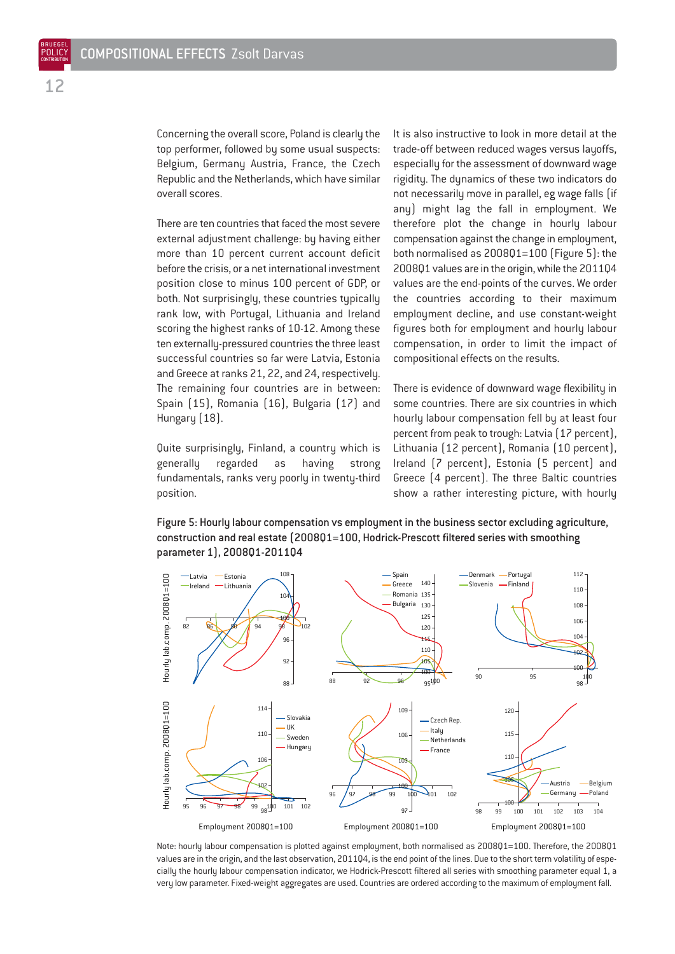Concerning the overall score, Poland is clearly the top performer, followed by some usual suspects: Belgium, Germany Austria, France, the Czech Republic and the Netherlands, which have similar overall scores.

There are ten countries that faced the most severe external adjustment challenge: by having either more than 10 percent current account deficit before the crisis, or a net international investment position close to minus 100 percent of GDP, or both. Not surprisingly, these countries typically rank low, with Portugal, Lithuania and Ireland scoring the highest ranks of 10-12. Among these ten externally-pressured countries the three least successful countries so far were Latvia, Estonia and Greece at ranks 21, 22, and 24, respectively. The remaining four countries are in between: Spain (15), Romania (16), Bulgaria (17) and Hungary (18).

Quite surprisingly, Finland, a country which is generally regarded as having strong fundamentals, ranks very poorly in twenty-third position.

It is also instructive to look in more detail at the trade-off between reduced wages versus layoffs, especially for the assessment of downward wage rigidity. The dynamics of these two indicators do not necessarily move in parallel, eg wage falls (if any) might lag the fall in employment. We therefore plot the change in hourly labour compensation against the change in employment, both normalised as 2008Q1=100 (Figure 5): the 2008Q1 values are in the origin, while the 2011Q4 values are the end-points of the curves. We order the countries according to their maximum employment decline, and use constant-weight figures both for employment and hourly labour compensation, in order to limit the impact of compositional effects on the results.

There is evidence of downward wage flexibility in some countries. There are six countries in which hourly labour compensation fell by at least four percent from peak to trough: Latvia (17 percent), Lithuania (12 percent), Romania (10 percent), Ireland (7 percent), Estonia (5 percent) and Greece (4 percent). The three Baltic countries show a rather interesting picture, with hourly





Note: hourly labour compensation is plotted against employment, both normalised as 2008Q1=100. Therefore, the 2008Q1 values are in the origin, and the last observation, 2011Q4, is the end point of the lines. Due to the short term volatility of especially the hourly labour compensation indicator, we Hodrick-Prescott filtered all series with smoothing parameter equal 1, a very low parameter. Fixed-weight aggregates are used. Countries are ordered according to the maximum of employment fall.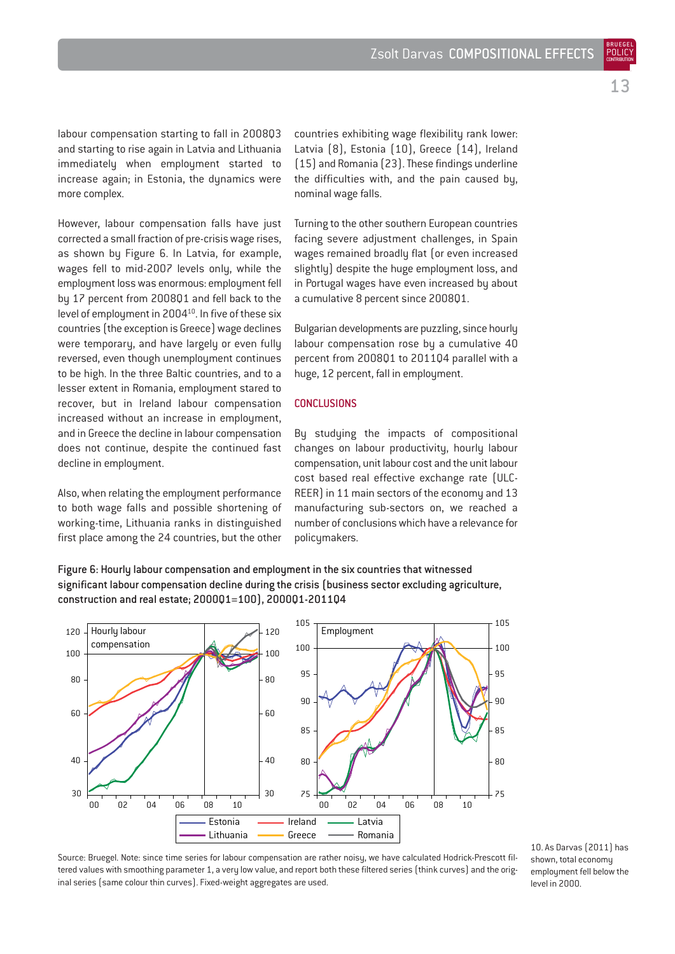labour compensation starting to fall in 2008Q3 and starting to rise again in Latvia and Lithuania immediately when employment started to increase again; in Estonia, the dynamics were more complex.

However, labour compensation falls have just corrected a small fraction of pre-crisis wage rises, as shown by Figure 6. In Latvia, for example, wages fell to mid-2007 levels only, while the employment loss was enormous: employment fell by 17 percent from 2008Q1 and fell back to the level of employment in 2004<sup>10</sup>. In five of these six countries (the exception is Greece) wage declines were temporary, and have largely or even fully reversed, even though unemployment continues to be high. In the three Baltic countries, and to a lesser extent in Romania, employment stared to recover, but in Ireland labour compensation increased without an increase in employment, and in Greece the decline in labour compensation does not continue, despite the continued fast decline in employment.

Also, when relating the employment performance to both wage falls and possible shortening of working-time, Lithuania ranks in distinguished first place among the 24 countries, but the other countries exhibiting wage flexibility rank lower: Latvia (8), Estonia (10), Greece (14), Ireland (15) and Romania (23). These findings underline the difficulties with, and the pain caused by, nominal wage falls.

Turning to the other southern European countries facing severe adjustment challenges, in Spain wages remained broadly flat (or even increased slightly) despite the huge employment loss, and in Portugal wages have even increased by about a cumulative 8 percent since 2008Q1.

Bulgarian developments are puzzling, since hourly labour compensation rose by a cumulative 40 percent from 2008Q1 to 2011Q4 parallel with a huge, 12 percent, fall in employment.

#### **CONCLUSIONS**

By studying the impacts of compositional changes on labour productivity, hourly labour compensation, unit labour cost and the unit labour cost based real effective exchange rate (ULC-REER) in 11 main sectors of the economy and 13 manufacturing sub-sectors on, we reached a number of conclusions which have a relevance for policymakers.

Figure 6: Hourly labour compensation and employment in the six countries that witnessed significant labour compensation decline during the crisis (business sector excluding agriculture, construction and real estate; 2000Q1=100), 2000Q1-2011Q4



Source: Bruegel. Note: since time series for labour compensation are rather noisy, we have calculated Hodrick-Prescott filtered values with smoothing parameter 1, a very low value, and report both these filtered series (think curves) and the original series (same colour thin curves). Fixed-weight aggregates are used.

10. As Darvas (2011) has shown, total economy employment fell below the level in 2000.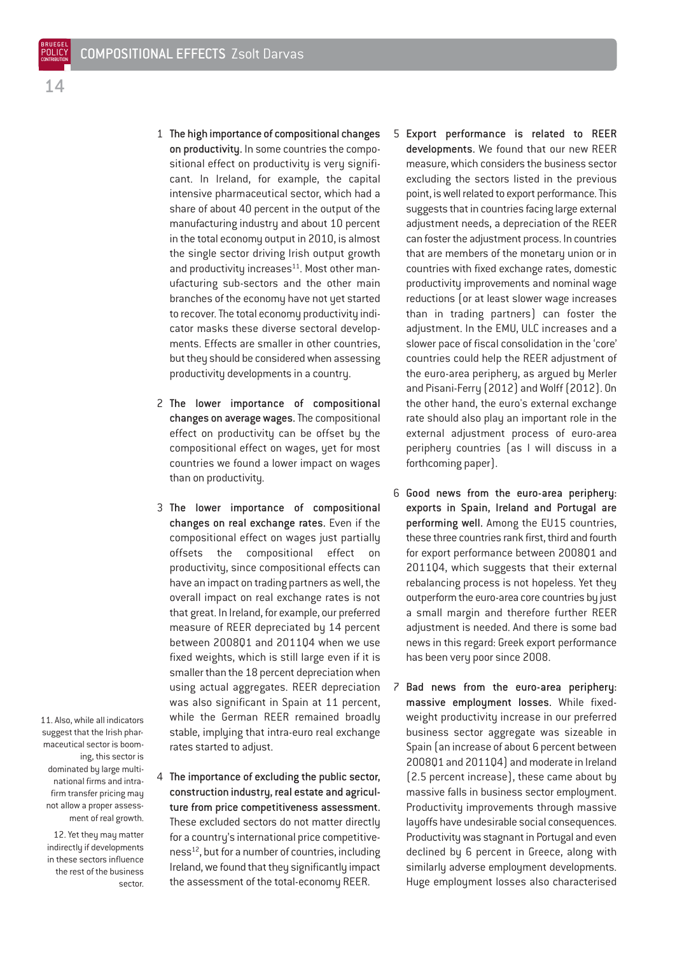- 1 The high importance of compositional changes on productivity. In some countries the compositional effect on productivity is very significant. In Ireland, for example, the capital intensive pharmaceutical sector, which had a share of about 40 percent in the output of the manufacturing industry and about 10 percent in the total economy output in 2010, is almost the single sector driving Irish output growth and productivity increases<sup>11</sup>. Most other manufacturing sub-sectors and the other main branches of the economy have not yet started to recover. The total economy productivity indicator masks these diverse sectoral developments. Effects are smaller in other countries, but they should be considered when assessing productivity developments in a country.
- 2 The lower importance of compositional changes on average wages.The compositional effect on productivity can be offset by the compositional effect on wages, yet for most countries we found a lower impact on wages than on productivity.
- 3 The lower importance of compositional changes on real exchange rates. Even if the compositional effect on wages just partially offsets the compositional effect on productivity, since compositional effects can have an impact on trading partners as well, the overall impact on real exchange rates is not that great. In Ireland, for example, our preferred measure of REER depreciated by 14 percent between 2008Q1 and 2011Q4 when we use fixed weights, which is still large even if it is smaller than the 18 percent depreciation when using actual aggregates. REER depreciation was also significant in Spain at 11 percent, while the German REER remained broadly stable, implying that intra-euro real exchange rates started to adjust.
- 11. Also, while all indicators suggest that the Irish pharmaceutical sector is booming, this sector is dominated by large multinational firms and intrafirm transfer pricing may not allow a proper assessment of real growth.

12. Yet they may matter indirectly if developments in these sectors influence the rest of the business sector.

4 The importance of excluding the public sector, construction industry, real estate and agriculture from price competitiveness assessment. These excluded sectors do not matter directly for a country's international price competitiveness<sup>12</sup>, but for a number of countries, including Ireland, we found that they significantly impact the assessment of the total-economy REER.

- 5 Export performance is related to REER developments. We found that our new REER measure, which considers the business sector excluding the sectors listed in the previous point, is well related to export performance. This suggests that in countries facing large external adjustment needs, a depreciation of the REER can foster the adjustment process. In countries that are members of the monetary union or in countries with fixed exchange rates, domestic productivity improvements and nominal wage reductions (or at least slower wage increases than in trading partners) can foster the adjustment. In the EMU, ULC increases and a slower pace of fiscal consolidation in the 'core' countries could help the REER adjustment of the euro-area periphery, as argued by Merler and Pisani-Ferry (2012) and Wolff (2012). On the other hand, the euro's external exchange rate should also play an important role in the external adjustment process of euro-area periphery countries (as I will discuss in a forthcoming paper).
- 6 Good news from the euro-area periphery: exports in Spain, Ireland and Portugal are performing well. Among the EU15 countries, these three countries rank first, third and fourth for export performance between 2008Q1 and 2011Q4, which suggests that their external rebalancing process is not hopeless. Yet they outperform the euro-area core countries by just a small margin and therefore further REER adjustment is needed. And there is some bad news in this regard: Greek export performance has been very poor since 2008.
- 7 Bad news from the euro-area periphery: massive employment losses. While fixedweight productivity increase in our preferred business sector aggregate was sizeable in Spain (an increase of about 6 percent between 2008Q1 and 2011Q4) and moderate in Ireland (2.5 percent increase), these came about by massive falls in business sector employment. Productivity improvements through massive layoffs have undesirable social consequences. Productivity was stagnant in Portugal and even declined by 6 percent in Greece, along with similarly adverse employment developments. Huge employment losses also characterised

BRUEGEL **POLICY**